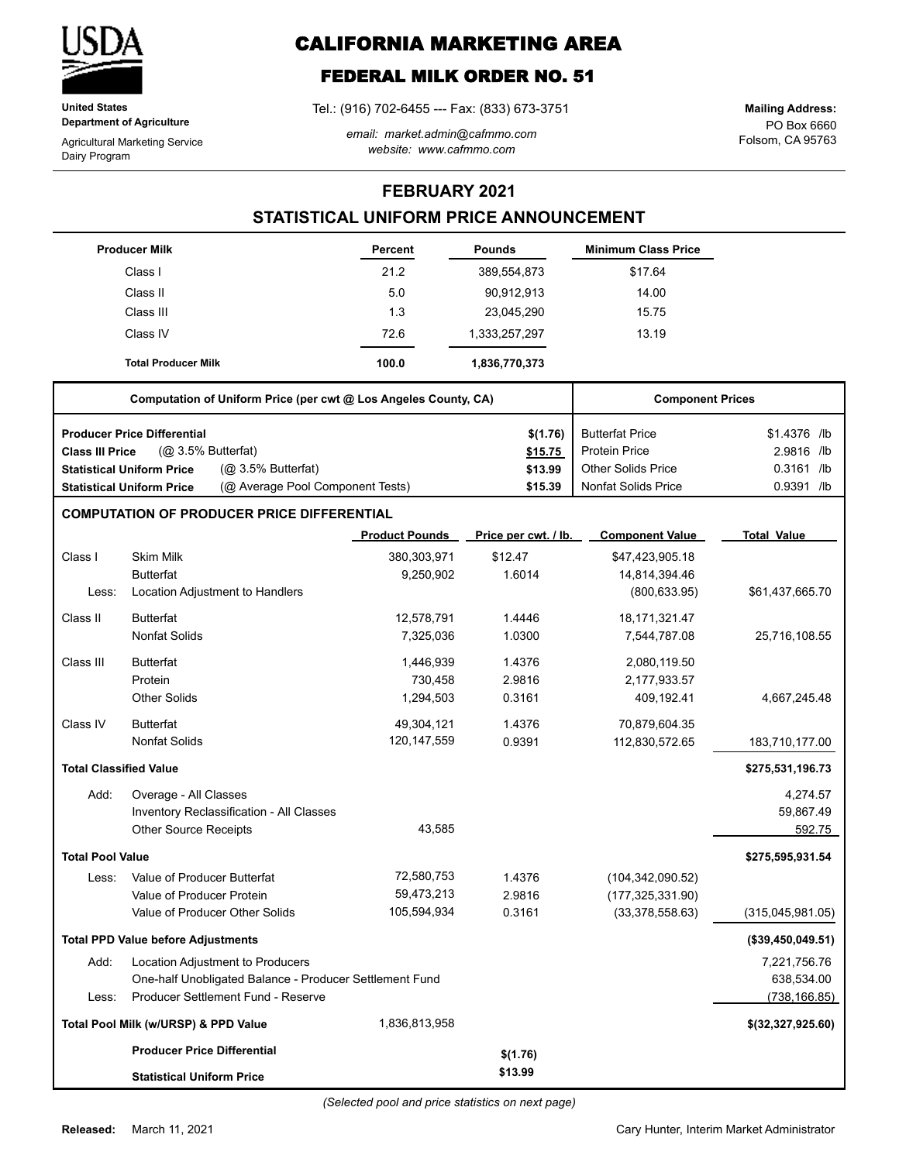

**United States Department of Agriculture**

Agricultural Marketing Service Dairy Program

# **CALIFORNIA MARKETING AREA**

## **FEDERAL MILK ORDER NO. 51**

Tel.: (916) 702-6455 --- Fax: (833) 673-3751

*email: market.admin@cafmmo.com website: www.cafmmo.com*

PO Box 6660 Folsom, CA 95763 **Mailing Address:**

### **FEBRUARY 2021**

### **STATISTICAL UNIFORM PRICE ANNOUNCEMENT**

|                               | <b>Producer Milk</b>                                            |                                  | Percent               | <b>Pounds</b>        | <b>Minimum Class Price</b> |                    |
|-------------------------------|-----------------------------------------------------------------|----------------------------------|-----------------------|----------------------|----------------------------|--------------------|
|                               | Class I                                                         |                                  | 21.2                  | 389,554,873          | \$17.64                    |                    |
|                               | Class II                                                        |                                  | 5.0                   | 90,912,913           | 14.00                      |                    |
|                               | Class III                                                       |                                  | 1.3                   | 23,045,290           | 15.75                      |                    |
|                               | Class IV                                                        |                                  | 72.6                  | 1,333,257,297        | 13.19                      |                    |
|                               | <b>Total Producer Milk</b>                                      |                                  | 100.0                 | 1,836,770,373        |                            |                    |
|                               | Computation of Uniform Price (per cwt @ Los Angeles County, CA) |                                  |                       |                      | <b>Component Prices</b>    |                    |
|                               | <b>Producer Price Differential</b>                              |                                  |                       | \$(1.76)             | <b>Butterfat Price</b>     | \$1.4376 /lb       |
| <b>Class III Price</b>        | (@ 3.5% Butterfat)                                              |                                  |                       | \$15.75              | <b>Protein Price</b>       | 2.9816 /lb         |
|                               | <b>Statistical Uniform Price</b>                                | (@ 3.5% Butterfat)               |                       | \$13.99              | <b>Other Solids Price</b>  | $0.3161$ /lb       |
|                               | <b>Statistical Uniform Price</b>                                | (@ Average Pool Component Tests) |                       | \$15.39              | <b>Nonfat Solids Price</b> | 0.9391 /lb         |
|                               | <b>COMPUTATION OF PRODUCER PRICE DIFFERENTIAL</b>               |                                  |                       |                      |                            |                    |
|                               |                                                                 |                                  | <b>Product Pounds</b> | Price per cwt. / lb. | <b>Component Value</b>     | <b>Total Value</b> |
| Class I                       | <b>Skim Milk</b>                                                |                                  | 380,303,971           | \$12.47              | \$47,423,905.18            |                    |
|                               | <b>Butterfat</b>                                                |                                  | 9,250,902             | 1.6014               | 14,814,394.46              |                    |
| Less:                         | Location Adjustment to Handlers                                 |                                  |                       |                      | (800, 633.95)              | \$61,437,665.70    |
| Class II                      | <b>Butterfat</b>                                                |                                  | 12,578,791            | 1.4446               | 18, 171, 321. 47           |                    |
|                               | <b>Nonfat Solids</b>                                            |                                  | 7,325,036             | 1.0300               | 7,544,787.08               | 25,716,108.55      |
| Class III                     | <b>Butterfat</b>                                                |                                  | 1,446,939             | 1.4376               | 2,080,119.50               |                    |
|                               | Protein                                                         |                                  | 730,458               | 2.9816               | 2,177,933.57               |                    |
|                               | <b>Other Solids</b>                                             |                                  | 1,294,503             | 0.3161               | 409,192.41                 | 4,667,245.48       |
| Class IV                      | <b>Butterfat</b>                                                |                                  | 49,304,121            | 1.4376               | 70,879,604.35              |                    |
|                               | <b>Nonfat Solids</b>                                            |                                  | 120, 147, 559         | 0.9391               | 112,830,572.65             | 183,710,177.00     |
| <b>Total Classified Value</b> |                                                                 |                                  |                       |                      |                            | \$275,531,196.73   |
| Add:                          | Overage - All Classes                                           |                                  |                       |                      |                            | 4,274.57           |
|                               | Inventory Reclassification - All Classes                        |                                  |                       |                      |                            | 59,867.49          |
|                               | <b>Other Source Receipts</b>                                    |                                  | 43,585                |                      |                            | 592.75             |
| <b>Total Pool Value</b>       |                                                                 |                                  |                       |                      |                            | \$275,595,931.54   |
| Less:                         | Value of Producer Butterfat                                     |                                  | 72,580,753            | 1.4376               | (104, 342, 090.52)         |                    |
|                               | Value of Producer Protein                                       |                                  | 59,473,213            | 2.9816               | (177, 325, 331.90)         |                    |
|                               | Value of Producer Other Solids                                  |                                  | 105,594,934           | 0.3161               | (33, 378, 558.63)          | (315,045,981.05)   |
|                               | <b>Total PPD Value before Adjustments</b>                       |                                  |                       |                      |                            | (\$39,450,049.51)  |
| Add:                          | Location Adjustment to Producers                                |                                  |                       |                      |                            | 7,221,756.76       |
|                               | One-half Unobligated Balance - Producer Settlement Fund         |                                  |                       |                      |                            | 638,534.00         |
| Less:                         | Producer Settlement Fund - Reserve                              |                                  |                       |                      |                            | (738, 166.85)      |
|                               | Total Pool Milk (w/URSP) & PPD Value                            |                                  | 1,836,813,958         |                      |                            | \$(32,327,925.60)  |
|                               | <b>Producer Price Differential</b>                              |                                  |                       | \$(1.76)             |                            |                    |
|                               | <b>Statistical Uniform Price</b>                                |                                  |                       | \$13.99              |                            |                    |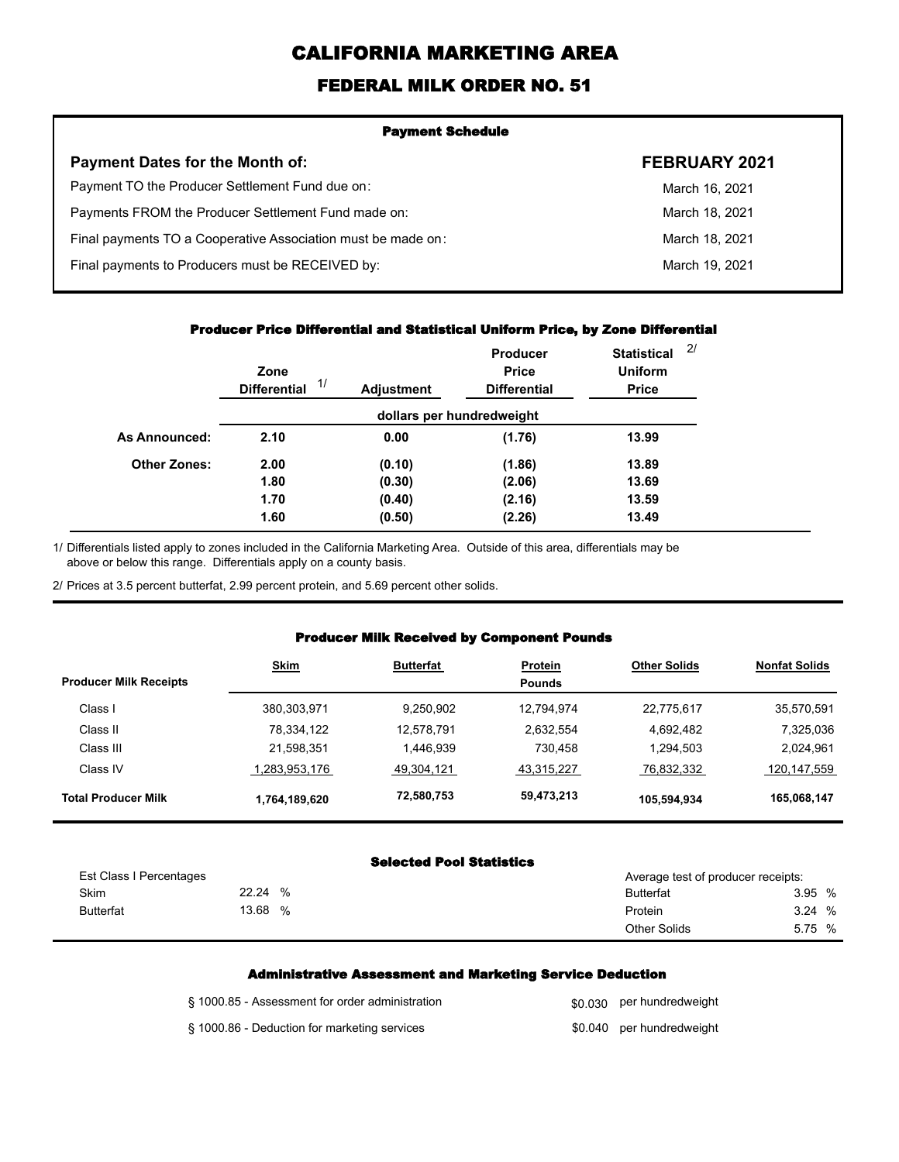# **CALIFORNIA MARKETING AREA**

### **FEDERAL MILK ORDER NO. 51**

| <b>Payment Schedule</b>                                      |                      |  |  |  |
|--------------------------------------------------------------|----------------------|--|--|--|
| <b>Payment Dates for the Month of:</b>                       | <b>FEBRUARY 2021</b> |  |  |  |
| Payment TO the Producer Settlement Fund due on:              | March 16, 2021       |  |  |  |
| Payments FROM the Producer Settlement Fund made on:          | March 18, 2021       |  |  |  |
| Final payments TO a Cooperative Association must be made on: | March 18, 2021       |  |  |  |
| Final payments to Producers must be RECEIVED by:             | March 19, 2021       |  |  |  |
|                                                              |                      |  |  |  |

#### **Producer Price Differential and Statistical Uniform Price, by Zone Differential**

|                      | Zone<br>1/<br><b>Differential</b> | <b>Adjustment</b> | <b>Producer</b><br><b>Price</b><br><b>Differential</b> | <b>Statistical</b><br><b>Uniform</b><br><b>Price</b> | 2/ |
|----------------------|-----------------------------------|-------------------|--------------------------------------------------------|------------------------------------------------------|----|
|                      |                                   |                   | dollars per hundredweight                              |                                                      |    |
| <b>As Announced:</b> | 2.10                              | 0.00              | (1.76)                                                 | 13.99                                                |    |
| <b>Other Zones:</b>  | 2.00                              | (0.10)            | (1.86)                                                 | 13.89                                                |    |
|                      | 1.80                              | (0.30)            | (2.06)                                                 | 13.69                                                |    |
|                      | 1.70                              | (0.40)            | (2.16)                                                 | 13.59                                                |    |
|                      | 1.60                              | (0.50)            | (2.26)                                                 | 13.49                                                |    |

Differentials listed apply to zones included in the California Marketing Area. Outside of this area, differentials may be above or below this range. Differentials apply on a county basis. 1/

2/ Prices at 3.5 percent butterfat, 2.99 percent protein, and 5.69 percent other solids.

#### **Producer Milk Received by Component Pounds**

| <b>Producer Milk Receipts</b> | <b>Skim</b>   | <b>Butterfat</b> | <b>Protein</b><br><b>Pounds</b> | <b>Other Solids</b> | <b>Nonfat Solids</b> |
|-------------------------------|---------------|------------------|---------------------------------|---------------------|----------------------|
| Class I                       | 380.303.971   | 9.250.902        | 12,794,974                      | 22,775,617          | 35,570,591           |
| Class II                      | 78,334,122    | 12,578,791       | 2,632,554                       | 4,692,482           | 7,325,036            |
| Class III                     | 21,598,351    | 1,446,939        | 730.458                         | 1,294,503           | 2,024,961            |
| Class IV                      | 1,283,953,176 | 49,304,121       | 43,315,227                      | 76,832,332          | 120,147,559          |
| <b>Total Producer Milk</b>    | 1,764,189,620 | 72,580,753       | 59,473,213                      | 105,594,934         | 165,068,147          |

#### **Selected Pool Statistics**

| Est Class I Percentages |            | Average test of producer receipts: |        |
|-------------------------|------------|------------------------------------|--------|
| <b>Skim</b>             | 22.24<br>% | <b>Butterfat</b>                   | 3.95%  |
| <b>Butterfat</b>        | 13.68<br>% | Protein                            | 3.24%  |
|                         |            | <b>Other Solids</b>                | 5.75 % |

#### **Administrative Assessment and Marketing Service Deduction**

| § 1000.85 - Assessment for order administration | \$0,030 per hundredweight |
|-------------------------------------------------|---------------------------|
| § 1000.86 - Deduction for marketing services    | \$0.040 per hundredweight |